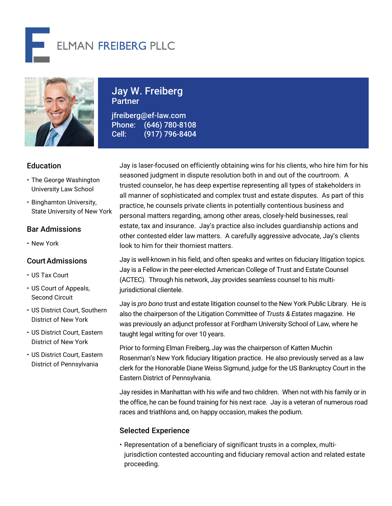



Jay W. Freiberg Partner

jfreiberg@ef-law.com Phone: (646) 780-8108 Cell: (917) 796-8404

# Education

- The George Washington University Law School
- Binghamton University, State University of New York

# Bar Admissions

• New York

## CourtAdmissions

- US Tax Court
- US Court of Appeals, Second Circuit
- US District Court, Southern District of New York
- US District Court, Eastern District of New York
- US District Court, Eastern District of Pennsylvania

Jay is laser-focused on efficiently obtaining wins for his clients, who hire him for his seasoned judgment in dispute resolution both in and out of the courtroom. A trusted counselor, he has deep expertise representing all types of stakeholders in all manner of sophisticated and complex trust and estate disputes. As part of this practice, he counsels private clients in potentially contentious business and personal matters regarding, among other areas, closely-held businesses, real estate, tax and insurance. Jay's practice also includes guardianship actions and other contested elder law matters. A carefully aggressive advocate, Jay's clients look to him for their thorniest matters.

Jay is well-known in his field, and often speaks and writes on fiduciary litigation topics. Jay is a Fellow in the peer-elected American College of Trust and Estate Counsel (ACTEC). Through his network, Jay provides seamless counsel to his multijurisdictional clientele.

Jay is *pro bono* trust and estate litigation counsel to the New York Public Library. He is also the chairperson of the Litigation Committee of *Trusts & Estates* magazine. He was previously an adjunct professor at Fordham University School of Law, where he taught legal writing for over 10 years.

Prior to forming Elman Freiberg, Jay was the chairperson of Katten Muchin Rosenman's New York fiduciary litigation practice. He also previously served as a law clerk for the Honorable Diane Weiss Sigmund, judge for the US Bankruptcy Court in the Eastern District of Pennsylvania.

Jay resides in Manhattan with his wife and two children. When not with his family or in the office, he can be found training for his next race. Jay is a veteran of numerous road races and triathlons and, on happy occasion, makes the podium.

# Selected Experience

• Representation of a beneficiary of significant trusts in a complex, multijurisdiction contested accounting and fiduciary removal action and related estate proceeding.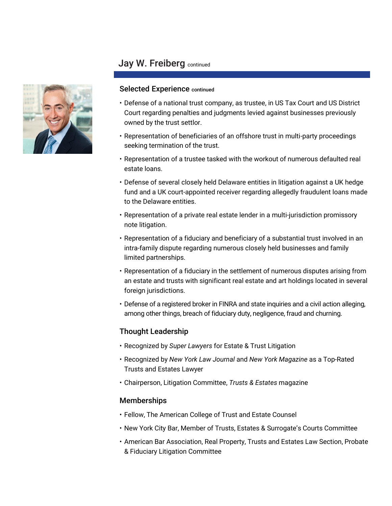# Jay W. Freiberg continued



### Selected Experience continued

- Defense of a national trust company, as trustee, in US Tax Court and US District Court regarding penalties and judgments levied against businesses previously owned by the trust settlor.
- Representation of beneficiaries of an offshore trust in multi-party proceedings seeking termination of the trust.
- Representation of a trustee tasked with the workout of numerous defaulted real estate loans.
- Defense of several closely held Delaware entities in litigation against a UK hedge fund and a UK court-appointed receiver regarding allegedly fraudulent loans made to the Delaware entities.
- Representation of a private real estate lender in a multi-jurisdiction promissory note litigation.
- Representation of a fiduciary and beneficiary of a substantial trust involved in an intra-family dispute regarding numerous closely held businesses and family limited partnerships.
- Representation of a fiduciary in the settlement of numerous disputes arising from an estate and trusts with significant real estate and art holdings located in several foreign jurisdictions.
- Defense of a registered broker in FINRA and state inquiries and a civil action alleging, among other things, breach of fiduciary duty, negligence, fraud and churning.

# Thought Leadership

- Recognized by *Super Lawyers* for Estate & Trust Litigation
- Recognized by *New York Law Journal* and *New York Magazine* as a Top-Rated Trusts and Estates Lawyer
- Chairperson, Litigation Committee, *Trusts & Estates* magazine

## Memberships

- Fellow, The American College of Trust and Estate Counsel
- New York City Bar, Member of Trusts, Estates & Surrogate's Courts Committee
- American Bar Association, Real Property, Trusts and Estates Law Section, Probate & Fiduciary Litigation Committee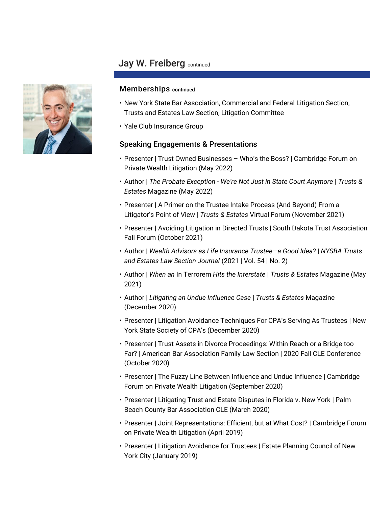# Jay W. Freiberg continued

### Memberships continued

- New York State Bar Association, Commercial and Federal Litigation Section, Trusts and Estates Law Section, Litigation Committee
- Yale Club Insurance Group

### Speaking Engagements & Presentations

- Presenter | Trust Owned Businesses Who's the Boss? | Cambridge Forum on Private Wealth Litigation (May 2022)
- Author | *The Probate Exception - We're Not Just in State Court Anymore* | *Trusts & Estates* Magazine (May 2022)
- Presenter | A Primer on the Trustee Intake Process (And Beyond) From a Litigator's Point of View | *Trusts & Estates* Virtual Forum (November 2021)
- Presenter | Avoiding Litigation in Directed Trusts | South Dakota Trust Association Fall Forum (October 2021)
- Author | *Wealth Advisors as Life Insurance Trustee—a Good Idea?* | *NYSBA Trusts and Estates Law Section Journal* (2021 | Vol. 54 | No. 2)
- Author | *When an* In Terrorem *Hits the Interstate* | *Trusts & Estates* Magazine (May 2021)
- Author | *Litigating an Undue Influence Case* | *Trusts & Estates* Magazine (December 2020)
- Presenter | Litigation Avoidance Techniques For CPA's Serving As Trustees | New York State Society of CPA's (December 2020)
- Presenter | Trust Assets in Divorce Proceedings: Within Reach or a Bridge too Far? | American Bar Association Family Law Section | 2020 Fall CLE Conference (October 2020)
- Presenter | The Fuzzy Line Between Influence and Undue Influence | Cambridge Forum on Private Wealth Litigation (September 2020)
- Presenter | Litigating Trust and Estate Disputes in Florida v. New York | Palm Beach County Bar Association CLE (March 2020)
- Presenter | Joint Representations: Efficient, but at What Cost? | Cambridge Forum on Private Wealth Litigation (April 2019)
- Presenter | Litigation Avoidance for Trustees | Estate Planning Council of New York City (January 2019)